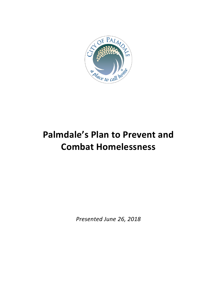

# **Palmdale's Plan to Prevent and Combat Homelessness**

*Presented June 26, 2018*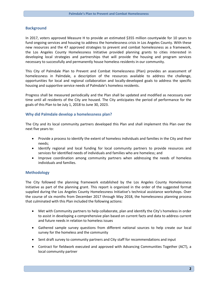#### **Background**

In 2017, voters approved Measure H to provide an estimated \$355 million countywide for 10 years to fund ongoing services and housing to address the homelessness crisis in Los Angeles County. With these new resources and the 47 approved strategies to prevent and combat homelessness as a framework, the Los Angeles County Homelessness Initiative provided planning grants to cities interested in developing local strategies and partnerships that will provide the housing and program services necessary to successfully and permanently house homeless residents in our community.

This City of Palmdale Plan to Prevent and Combat Homelessness (Plan) provides an assessment of homelessness in Palmdale, a description of the resources available to address the challenge, opportunities for local and regional collaboration and locally-developed goals to address the specific housing and supportive service needs of Palmdale's homeless residents.

Progress shall be measured periodically and the Plan shall be updated and modified as necessary over time until all residents of the City are housed. The City anticipates the period of performance for the goals of this Plan to be July 1, 2018 to June 30, 2023.

#### **Why did Palmdale develop a homelessness plan?**

The City and its local community partners developed this Plan and shall implement this Plan over the next five years to:

- Provide a process to identify the extent of homeless individuals and families in the City and their needs;
- Identify regional and local funding for local community partners to provide resources and services for identified needs of individuals and families who are homeless; and
- Improve coordination among community partners when addressing the needs of homeless individuals and families.

#### **Methodology**

The City followed the planning framework established by the Los Angeles County Homelessness Initiative as part of the planning grant. This report is organized in the order of the suggested format supplied during the Los Angeles County Homelessness Initiative's technical assistance workshops. Over the course of six months from December 2017 through May 2018, the homelessness planning process that culminated with this Plan included the following actions:

- Met with Community partners to help collaborate, plan and identify the City's homeless in order to assist in developing a comprehensive plan based on current facts and data to address current and future needs in relation to homeless issues
- Gathered sample survey questions from different national sources to help create our local survey for the homeless and the community
- Sent draft survey to community partners and City staff for recommendations and input
- Contract for fieldwork executed and approved with Advancing Communities Together (ACT), a local community partner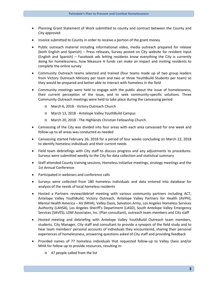- Planning Grant Statement of Work submitted to county and contract between the County and City approved
- Invoice submitted to County in order to receive a portion of the grant money
- Public outreach material including informational video, media outreach prepared for release (both English and Spanish) – Press releases, Survey posted on City website for resident input (English and Spanish) – Facebook ads letting residents know everything the City is currently doing for homelessness, how Measure H funds can make an impact and inviting residents to complete the online survey
- Community Outreach teams selected and trained (four teams made up of two group leaders from Victory Outreach Ministry per team and two or three YouthBuild Students per team) so they would be prepared and better able to interact with homeless in the field
- Community meetings were held to engage with the public about the issue of homelessness, their current perception of the issue, and to seek community-specific solutions. Three Community Outreach meetings were held to take place during the canvassing period:
	- o March 6, 2018 Victory Outreach Church
	- o March 13, 2018 Antelope Valley YouthBuild Campus
	- o March 20, 2018 The Highlands Christian Fellowship Church.
- Canvassing of the City was divided into four areas with each area canvassed for one week and follow-up to all areas was conducted as needed
- Canvassing started February 26, 2018 for a period of four weeks concluding on March 22, 2018 to identify homeless individuals and their current needs
- Field team debriefings with City staff to discuss progress and any adjustments to procedures. Surveys were submitted weekly to the City for data collection and statistical summary
- Staff attended County training sessions, Homeless Initiative meetings, strategy meetings and the 1st Annual Conference
- Participated in webinars and conference calls
- Surveys were collected from 180 homeless individuals and data entered into database for analysis of the needs of local homeless residents
- Hosted a Partners review/debrief meeting with various community partners including ACT, Antelope Valley YouthBuild, Victory Outreach, Antelope Valley Partners for Health (AVPH), Mental Health America – AV (MHA), Valley Oasis, Salvation Army, Los Angeles Homeless Services Authority (LAHSA), Los Angeles Sheriff's Department (LASD), South Antelope Valley Emergency Services (SAVES), LDM Associates, Inc. (Plan consultant), outreach team members and City staff
- Hosted meeting and debriefing with Antelope Valley YouthBuild Outreach team members, students, City Manager, City staff and consultant to provide a synopsis of the field study and to hear team members' personal accounts of individuals they encountered, sharing their personal experiences of homelessness, answering questions asked of City staff and providing feedback
- Provided names of 77 homeless individuals that requested follow-up to Valley Oasis and/or MHA for follow-up to provide resources, resulting in:
	- o 47 people called from the list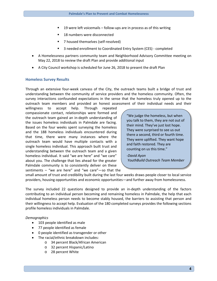- 19 were left voicemails follow-ups are in process as of this writing
- 18 numbers were disconnected
- 7 housed themselves (self-resolved)
- 3 needed enrollment to Coordinated Entry System (CES) completed
- A Homelessness partners community team and Neighborhood Advisory Committee meeting on May 22, 2018 to review the draft Plan and provide additional input
- A City Council workshop is scheduled for June 26, 2018 to present the draft Plan

#### **Homeless Survey Results**

Through an extensive four-week canvass of the City, the outreach teams built a bridge of trust and understanding between the community of service providers and the homeless community. Often, the survey interactions confounded expectations in the sense that the homeless truly opened up to the outreach team members and provided an honest assessment of their individual needs and their

willingness to accept help. Through repeated compassionate contact, relationships were formed and the outreach team gained an in-depth understanding of the issues homeless individuals in Palmdale are facing. Based on the four weeks spent surveying the homeless and the 188 homeless individuals encountered during that time, there were many instances where the outreach team would have multiple contacts with a single homeless individual. This approach built trust and understanding between the outreach team and a given homeless individual. It said "we are here" and "we care" about you. The challenge that lies ahead for the greater Palmdale community is to consistently deliver on these sentiments – "we are here" and "we care"—so that the

"We judge the homeless, but when you talk to them, they are not out of their mind. They've just lost hope. They were surprised to see us out there a second, third or fourth time. They were uplifted. They want hope and faith restored. They are counting on us this time."

*-David Ayon YouthBuild Outreach Team Member*

small amount of trust and credibility built during the last four weeks draws people closer to local service providers, housing opportunities and economic opportunities—and further away from homelessness.

The survey included 22 questions designed to provide an in-depth understanding of the factors contributing to an individual person becoming and remaining homeless in Palmdale, the help that each individual homeless person needs to become stably housed, the barriers to assisting that person and their willingness to accept help. Evaluation of the 180 completed surveys provides the following sections profile homeless individuals in Palmdale.

#### *Demographics*

- 103 people identified as male
- 77 people identified as female
- 0 people identified as transgender or other
- The racial/ethnic breakdown includes:
	- o 34 percent Black/African American
	- o 32 percent Hispanic/Latino
	- o 28 percent White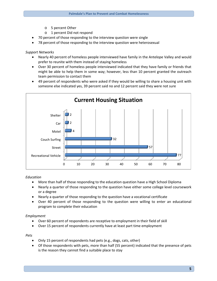- o 5 percent Other
- o 1 percent Did not respond
- 70 percent of those responding to the interview question were single
- 78 percent of those responding to the interview question were heterosexual

*Support Networks*

- Nearly 40 percent of homeless people interviewed have family in the Antelope Valley and would prefer to reunite with them instead of staying homeless
- Over 30 percent of homeless people interviewed indicated that they have family or friends that might be able to help them in some way; however, less than 10 percent granted the outreach team permission to contact them
- 49 percent of respondents who were asked if they would be willing to share a housing unit with someone else indicated yes, 39 percent said no and 12 percent said they were not sure



#### *Education*

- More than half of those responding to the education question have a High School Diploma
- Nearly a quarter of those responding to the question have either some college level coursework or a degree
- Nearly a quarter of those responding to the question have a vocational certificate
- Over 40 percent of those responding to the question were willing to enter an educational program to complete their education

## *Employment*

- Over 60 percent of respondents are receptive to employment in their field of skill
- Over 15 percent of respondents currently have at least part time employment

#### *Pets*

- Only 15 percent of respondents had pets (e.g., dogs, cats, other)
- Of those respondents with pets, more than half (55 percent) indicated that the presence of pets is the reason they cannot find a suitable place to stay

**5**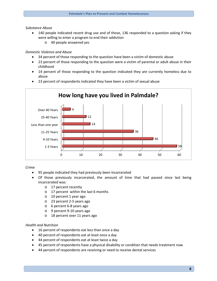## *Substance Abuse*

- 140 people indicated recent drug use and of those, 136 responded to a question asking if they were willing to enter a program to end their addiction
	- o 40 people answered yes

## *Domestic Violence and Abuse*

- 34 percent of those responding to the question have been a victim of domestic abuse
- 23 percent of those responding to the question were a victim of parental or adult abuse in their childhood
- 14 percent of those responding to the question indicated they are currently homeless due to abuse
- 23 percent of respondents indicated they have been a victim of sexual abuse



*Crime*

- 95 people indicated they had previously been incarcerated
- Of those previously incarcerated, the amount of time that had passed since last being incarcerated was:
	- o 17 percent recently
	- o 17 percent within the last 6 months
	- o 10 percent 1 year ago
	- o 23 percent 2-5 years ago
	- o 6 percent 6-8 years ago
	- o 9 percent 9-10 years ago
	- o 18 percent over 11 years ago

## *Health and Nutrition*

- 16 percent of respondents eat less than once a day
- 40 percent of respondents eat at least once a day
- 44 percent of respondents eat at least twice a day
- 45 percent of respondents have a physical disability or condition that needs treatment now
- 44 percent of respondents are receiving or need to receive dental services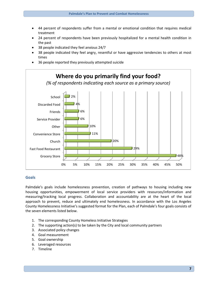- 44 percent of respondents suffer from a mental or emotional condition that requires medical treatment
- 24 percent of respondents have been previously hospitalized for a mental health condition in the past
- 38 people indicated they feel anxious 24/7
- 38 people indicated they feel angry, resentful or have aggressive tendencies to others at most times
- 36 people reported they previously attempted suicide



## **Goals**

Palmdale's goals include homelessness prevention, creation of pathways to housing including new housing opportunities, empowerment of local service providers with resources/information and measuring/tracking local progress. Collaboration and accountability are at the heart of the local approach to prevent, reduce and ultimately end homelessness. In accordance with the Los Angeles County Homelessness Initiative's suggested format for the Plan, each of Palmdale's four goals consists of the seven elements listed below.

- 1. The corresponding County Homeless Initiative Strategies
- 2. The supporting action(s) to be taken by the City and local community partners
- 3. Associated policy changes
- 4. Goal measurement
- 5. Goal ownership
- 6. Leveraged resources
- 7. Timeline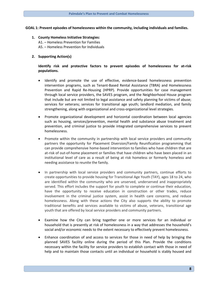#### **GOAL 1: Prevent episodes of homelessness within the community, including individuals and families.**

**1. County Homeless Initiative Strategies:** A1. – Homeless Prevention for Families A5. – Homeless Prevention for Individuals

### **2. Supporting Action(s)**

## **Identify risk and protective factors to prevent episodes of homelessness for at-risk populations.**

- Identify and promote the use of effective, evidence-based homelessness prevention intervention programs, such as Tenant-Based Rental Assistance (TBRA) and Homelessness Prevention and Rapid Re-Housing (HPRP). Provide opportunities for case management through local service providers, the SAVES program, and the Neighborhood House program that include but are not limited to legal assistance and safety planning for victims of abuse; services for veterans; services for transitional age youth; landlord mediation, and family strengthening, along with organizational and cross-organizational level strategies.
- Promote organizational development and horizontal coordination between local agencies such as housing, services/prevention, mental health and substance abuse treatment and prevention, and criminal justice to provide integrated comprehensive services to prevent homelessness.
- Promote within the community in partnership with local service providers and community partners the opportunity for Placement Diversion/Family Reunification programming that can provide comprehensive home-based intervention to families who have children that are at-risk of out-of-home placement or families that have children who have been placed in an institutional level of care as a result of being at risk homeless or formerly homeless and needing assistance to reunite the family.
- In partnership with local service providers and community partners, continue efforts to create opportunities to provide housing for Transitional Age Youth (TAY), ages 18 to 24, who are identified within the community who are unserved, underserved and inappropriately served. This effort includes the support for youth to complete or continue their education, have the opportunity to receive education in construction or other trades, reduce involvement in the criminal justice system, assist in health care concerns, and reduce homelessness. Along with these actions the City also supports the ability to promote traditional benefits and services available to victims of abuse, veterans, transitional age youth that are offered by local service providers and community partners.
- Examine how the City can bring together one or more services for an individual or household that is presently at risk of homelessness in a way that addresses the household's social and/or economic needs to the extent necessary to effectively prevent homelessness.
- Enhance coordination of and access to services for those in need of help by bringing the planned SAVES facility online during the period of this Plan. Provide the conditions necessary within the facility for service providers to establish contact with those in need of help and to maintain those contacts until an individual or household is stably housed and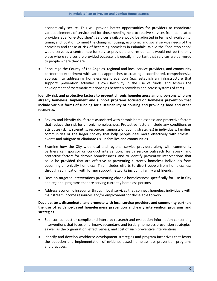economically secure. This will provide better opportunities for providers to coordinate various elements of service and for those needing help to receive services from co-located providers at a "one-stop shop". Services available would be adjusted in terms of availability, timing and location to meet the changing housing, economic and social service needs of the homeless and those at risk of becoming homeless in Palmdale. While the "one-stop shop" would serve as a central hub for service providers and residents, it would not be the only place where services are provided because it is equally important that services are delivered to people where they are.

• Encourage the County of Los Angeles, regional and local service providers, and community partners to experiment with various approaches to creating a coordinated, comprehensive approach to addressing homelessness prevention (e.g. establish an infrastructure that supports prevention activities, allows flexibility in the use of funds, and fosters the development of systematic relationships between providers and across systems of care).

## **Identify risk and protective factors to prevent chronic homelessness among persons who are already homeless. Implement and support programs focused on homeless prevention that include various forms of funding for sustainability of housing and providing food and other resources.**

- Review and identify risk factors associated with chronic homelessness and protective factors that reduce the risk for chronic homelessness. Protective factors include any conditions or attributes (skills, strengths, resources, supports or coping strategies) in individuals, families, communities or the larger society that help people deal more effectively with stressful events and mitigate or eliminate risk in families and communities.
- Examine how the City with local and regional service providers along with community partners can sponsor or conduct intervention, health service outreach for at-risk, and protective factors for chronic homelessness, and to identify preventive interventions that could be provided that are effective at preventing currently homeless individuals from becoming chronically homeless. This includes efforts to divert people from homelessness through reunification with former support networks including family and friends.
- Develop targeted interventions preventing chronic homelessness specifically for use in City and regional programs that are serving currently homeless persons.
- Address economic insecurity through local services that connect homeless individuals with mainstream income resources and/or employment for those able to work.

## **Develop, test, disseminate, and promote with local service providers and community partners the use of evidence-based homelessness prevention and early intervention programs and strategies.**

- Sponsor, conduct or compile and interpret research and evaluation information concerning interventions that focus on primary, secondary, and tertiary homeless prevention strategies, as well as the organization, effectiveness, and cost of such preventive interventions.
- Identify and develop workforce development strategies and program incentives that foster the adoption and implementation of evidence-based homelessness prevention programs and practices.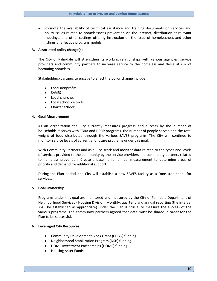• Promote the availability of technical assistance and training documents on services and policy issues related to homelessness prevention via the internet, distribution at relevant meetings, and other settings offering instruction on the issue of homelessness and other listings of effective program models.

#### **3. Associated policy change(s)**

The City of Palmdale will strengthen its working relationships with various agencies, service providers and community partners to increase service to the homeless and those at risk of becoming homeless.

Stakeholders/partners to engage to enact the policy change include:

- Local nonprofits
- **SAVES**
- Local churches
- Local school districts
- Charter schools

#### **4. Goal Measurement**

As an organization the City currently measures progress and success by the number of households it serves with TBRA and HPRP programs, the number of people served and the total weight of food distributed through the various SAVES programs. The City will continue to monitor service levels of current and future programs under this goal.

With Community Partners and as a City, track and monitor data related to the types and levels of services provided to the community by the service providers and community partners related to homeless prevention. Create a baseline for annual measurement to determine areas of priority and demand for additional support.

During the Plan period, the City will establish a new SAVES facility as a "one stop shop" for services.

#### **5. Goal Ownership**

Programs under this goal are monitored and measured by the City of Palmdale Department of Neighborhood Services - Housing Division. Monthly, quarterly and annual reporting (the interval shall be established as appropriate) under the Plan is crucial to measure the success of the various programs. The community partners agreed that data must be shared in order for the Plan to be successful.

#### **6. Leveraged City Resources**

- Community Development Block Grant (CDBG) funding
- Neighborhood Stabilization Program (NSP) funding
- HOME Investment Partnerships (HOME) funding
- Housing Asset Funds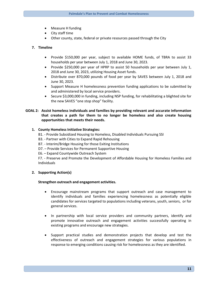- Measure H funding
- City staff time
- Other county, state, federal or private resources passed through the City

## **7. Timeline**

- Provide \$150,000 per year, subject to available HOME funds, of TBRA to assist 33 households per year between July 1, 2018 and June 30, 2023.
- Provide \$250,000 per year of HPRP to assist 50 households per year between July 1, 2018 and June 30, 2023, utilizing Housing Asset funds.
- Distribute over 870,000 pounds of food per year by SAVES between July 1, 2018 and June 30, 2023.
- Support Measure H homelessness prevention funding applications to be submitted by and administered by local service providers.
- Secure \$3,000,000 in funding, including NSP funding, for rehabilitating a blighted site for the new SAVES "one stop shop" facility.

## **GOAL 2: Assist homeless individuals and families by providing relevant and accurate information that creates a path for them to no longer be homeless and also create housing opportunities that meets their needs.**

## **1. County Homeless Initiative Strategies:**

- B1. Provide Subsidized Housing to Homeless, Disabled Individuals Pursuing SSI
- B3. Partner with Cities to Expand Rapid Rehousing
- B7. Interim/Bridge Housing for those Exiting Institutions
- D7. Provide Services for Permanent Supportive Housing
- E6. Expand Countywide Outreach System

F7. - Preserve and Promote the Development of Affordable Housing for Homeless Families and Individuals

## **2. Supporting Action(s)**

## **Strengthen outreach and engagement activities.**

- Encourage mainstream programs that support outreach and case management to identify individuals and families experiencing homelessness as potentially eligible candidates for services targeted to populations including veterans, youth, seniors, or for general services.
- In partnership with local service providers and community partners, identify and promote innovative outreach and engagement activities successfully operating in existing programs and encourage new strategies.
- Support practical studies and demonstration projects that develop and test the effectiveness of outreach and engagement strategies for various populations in response to emerging conditions causing risk for homelessness as they are identified.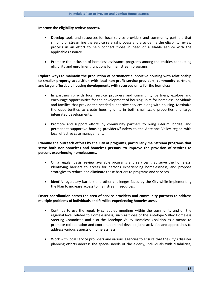#### **Improve the eligibility review process.**

- Develop tools and resources for local service providers and community partners that simplify or streamline the service referral process and also define the eligibility review process in an effort to help connect those in need of available service with the applicable resource.
- Promote the inclusion of homeless assistance programs among the entities conducting eligibility and enrollment functions for mainstream programs.

## **Explore ways to maintain the production of permanent supportive housing with relationship to smaller property acquisition with local non-profit service providers, community partners, and larger affordable housing developments with reserved units for the homeless.**

- In partnership with local service providers and community partners, explore and encourage opportunities for the development of housing units for homeless individuals and families that provide the needed supportive services along with housing. Maximize the opportunities to create housing units in both small scale properties and large integrated developments.
- Promote and support efforts by community partners to bring interim, bridge, and permanent supportive housing providers/funders to the Antelope Valley region with local effective case management.

## **Examine the outreach efforts by the City of programs, particularly mainstream programs that serve both non-homeless and homeless persons, to improve the provision of services to persons experiencing homelessness.**

- On a regular basis, review available programs and services that serve the homeless, identifying barriers to access for persons experiencing homelessness, and propose strategies to reduce and eliminate these barriers to programs and services.
- Identify regulatory barriers and other challenges faced by the City while implementing the Plan to increase access to mainstream resources.

## **Foster coordination across the area of service providers and community partners to address multiple problems of individuals and families experiencing homelessness.**

- Continue to use the regularly scheduled meetings within the community and on the regional level related to Homelessness, such as those of the Antelope Valley Homeless Steering Committee and also the Antelope Valley Homeless Coalition as a means to promote collaboration and coordination and develop joint activities and approaches to address various aspects of homelessness.
- Work with local service providers and various agencies to ensure that the City's disaster planning efforts address the special needs of the elderly, individuals with disabilities,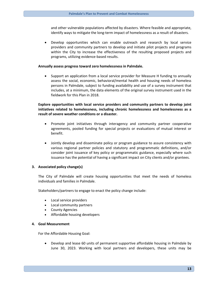and other vulnerable populations affected by disasters. Where feasible and appropriate, identify ways to mitigate the long-term impact of homelessness as a result of disasters.

• Develop opportunities which can enable outreach and research by local service providers and community partners to develop and initiate pilot projects and programs within the City to increase the effectiveness of the resulting proposed projects and programs, utilizing evidence-based results.

#### **Annually assess progress toward zero homelessness in Palmdale.**

• Support an application from a local service provider for Measure H funding to annually assess the social, economic, behavioral/mental health and housing needs of homeless persons in Palmdale, subject to funding availability and use of a survey instrument that includes, at a minimum, the data elements of the original survey instrument used in the fieldwork for this Plan in 2018.

**Explore opportunities with local service providers and community partners to develop joint initiatives related to homelessness, including chronic homelessness and homelessness as a result of severe weather conditions or a disaster.**

- Promote joint initiatives through interagency and community partner cooperative agreements, pooled funding for special projects or evaluations of mutual interest or benefit.
- Jointly develop and disseminate policy or program guidance to assure consistency with various regional partner policies and statutory and programmatic definitions, and/or consider joint issuance of key policy or programmatic guidance, especially where such issuance has the potential of having a significant impact on City clients and/or grantees.

## **3. Associated policy change(s)**

The City of Palmdale will create housing opportunities that meet the needs of homeless individuals and families in Palmdale.

Stakeholders/partners to engage to enact the policy change include:

- Local service providers
- Local community partners
- County Agencies
- Affordable housing developers

#### **4. Goal Measurement**

For the Affordable Housing Goal:

• Develop and lease 60 units of permanent supportive affordable housing in Palmdale by June 30, 2023. Working with local partners and developers, these units may be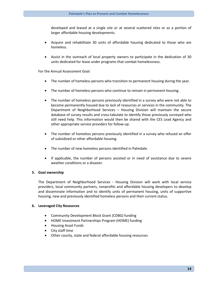developed and leased at a single site or at several scattered sites or as a portion of larger affordable housing developments.

- Acquire and rehabilitate 30 units of affordable housing dedicated to those who are homeless.
- Assist in the outreach of local property owners to participate in the dedication of 30 units dedicated for lease under programs that combat homelessness.

For the Annual Assessment Goal:

- The number of homeless persons who transition to permanent housing during the year.
- The number of homeless persons who continue to remain in permanent housing.
- The number of homeless persons previously identified in a survey who were not able to become permanently housed due to lack of resources or services in the community. The Department of Neighborhood Services – Housing Division will maintain the secure database of survey results and cross-tabulate to identify those previously surveyed who still need help. This information would then be shared with the CES Lead Agency and other appropriate service providers for follow-up.
- The number of homeless persons previously identified in a survey who refused an offer of subsidized or other affordable housing.
- The number of new homeless persons identified in Palmdale.
- If applicable, the number of persons assisted or in need of assistance due to severe weather conditions or a disaster.

#### **5. Goal ownership**

The Department of Neighborhood Services - Housing Division will work with local service providers, local community partners, nonprofits and affordable housing developers to develop and disseminate information and to identify units of permanent housing, units of supportive housing, new and previously identified homeless persons and their current status.

#### **6. Leveraged City Resources**

- Community Development Block Grant (CDBG) funding
- HOME Investment Partnerships Program (HOME) funding
- Housing Asset Funds
- City staff time
- Other county, state and federal affordable housing resources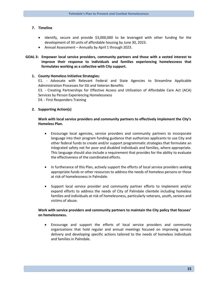## **7. Timeline**

- Identify, secure and provide \$3,000,000 to be leveraged with other funding for the development of 30 units of affordable housing by June 30, 2023.
- Annual Assessment Annually by April 1 through 2023.

## **GOAL 3: Empower local service providers, community partners and those with a vested interest to improve their response to individuals and families experiencing homelessness that formulates working as a collective with City support.**

### **1. County Homeless Initiative Strategies:**

E1. - Advocate with Relevant Federal and State Agencies to Streamline Applicable Administration Processes for SSI and Veteran Benefits

E3. - Creating Partnerships for Effective Access and Utilization of Affordable Care Act (ACA) Services by Person Experiencing Homelessness

E4. - First Responders Training

## **2. Supporting Action(s)**

## **Work with local service providers and community partners to effectively implement the City's Homeless Plan.**

- Encourage local agencies, service providers and community partners to incorporate language into their program funding guidance that authorizes applicants to use City and other federal funds to create and/or support programmatic strategies that formulate an integrated safety net for poor and disabled individuals and families, where appropriate. This language should also include a requirement that provides for the ability to evaluate the effectiveness of the coordinated efforts.
- In furtherance of this Plan, actively support the efforts of local service providers seeking appropriate funds or other resources to address the needs of homeless persons or those at risk of homelessness in Palmdale.
- Support local service provider and community partner efforts to implement and/or expand efforts to address the needs of City of Palmdale clientele including homeless families and individuals at risk of homelessness, particularly veterans, youth, seniors and victims of abuse.

## **Work with service providers and community partners to maintain the City policy that focuses' on homelessness.**

• Encourage and support the efforts of local service providers and community organizations that hold regular and annual meetings focused on improving service delivery and developing specific actions tailored to the needs of homeless individuals and families in Palmdale.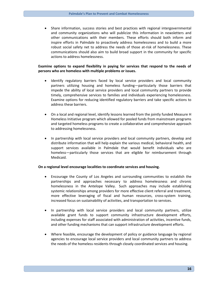• Share information, success stories and best practices with regional intergovernmental and community organizations who will publicize this information in newsletters and other communications with their members. These efforts should both inform and inspire efforts in Palmdale to proactively address homelessness and to build a more robust social safety net to address the needs of those at-risk of homelessness. These communications should also aim to build broad support in the community for specific actions to address homelessness.

## **Examine options to expand flexibility in paying for services that respond to the needs of persons who are homeless with multiple problems or issues.**

- Identify regulatory barriers faced by local service providers and local community partners utilizing housing and homeless funding—particularly those barriers that impede the ability of local service providers and local community partners to provide timely, comprehensive services to families and individuals experiencing homelessness. Examine options for reducing identified regulatory barriers and take specific actions to address these barriers.
- On a local and regional level, identify lessons learned from the jointly funded Measure H Homeless Initiative program which allowed for pooled funds from mainstream programs and targeted homeless programs to create a collaborative and comprehensive approach to addressing homelessness.
- In partnership with local service providers and local community partners, develop and distribute information that will help explain the various medical, behavioral health, and support services available in Palmdale that would benefit individuals who are homeless—particularly those services that are eligible for reimbursement through Medicaid.

#### **On a regional level encourage localities to coordinate services and housing.**

- Encourage the County of Los Angeles and surrounding communities to establish the partnerships and approaches necessary to address homelessness and chronic homelessness in the Antelope Valley. Such approaches may include establishing systemic relationships among providers for more effective client referral and treatment, more effective leveraging of fiscal and human resources, cross-system training, increased focus on sustainability of activities, and transportation to services.
- In partnership with local service providers and local community partners, utilize available grant funds to support community infrastructure development efforts, including expenses for staff associated with administration of activities, incentive funds, and other funding mechanisms that can support infrastructure development efforts.
- Where feasible, encourage the development of policy or guidance language by regional agencies to encourage local service providers and local community partners to address the needs of the homeless residents through closely coordinated services and housing.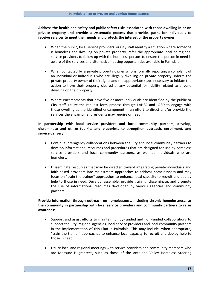**Address the health and safety and public safety risks associated with those dwelling in or on private property and provide a systematic process that provides paths for individuals to receive services to meet their needs and protects the interest of the property owner.**

- When the public, local service providers or City staff identify a situation where someone is homeless and dwelling on private property, refer the appropriate local or regional service providers to follow up with the homeless person to ensure the person in need is aware of the services and alternative housing opportunities available in Palmdale.
- When contacted by a private property owner who is formally reporting a complaint of an individual or individuals who are illegally dwelling on private property, inform the private property owner of their rights and the appropriate steps necessary to initiate the action to have their property cleared of any potential for liability related to anyone dwelling on their property.
- Where encampments that have five or more individuals are identified by the public or City staff, utilize the request form process through LAHSA and LASD to engage with those dwelling at the identified encampment in an effort to direct and/or provide the services the encampment residents may require or need.

## **In partnership with local service providers and local community partners, develop, disseminate and utilize toolkits and blueprints to strengthen outreach, enrollment, and service delivery.**

- Continue interagency collaborations between the City and local community partners to develop informational resources and procedures that are designed for use by homeless service providers and local community partners, as well as individuals who are homeless.
- Disseminate resources that may be directed toward integrating private individuals and faith-based providers into mainstream approaches to address homelessness and may focus on "train the trainer" approaches to enhance local capacity to recruit and deploy help to those in need. Develop, assemble, provide training, disseminate, and promote the use of informational resources developed by various agencies and community partners.

## **Provide information through outreach on homelessness, including chronic homelessness, to the community in partnership with local service providers and community partners to raise awareness.**

- Support and assist efforts to maintain jointly-funded and non-funded collaborations to support the City, regional agencies, local service providers and local community partners in the implementation of this Plan in Palmdale. This may include, when appropriate, "train the trainer" approaches to enhance local capacity to recruit and deploy help to those in need.
- Utilize local and regional meetings with service providers and community members who are Measure H grantees, such as those of the Antelope Valley Homeless Steering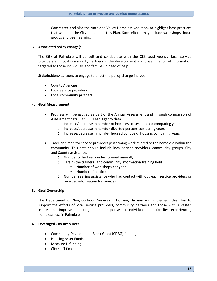Committee and also the Antelope Valley Homeless Coalition, to highlight best practices that will help the City implement this Plan. Such efforts may include workshops, focus groups and peer learning.

### **3. Associated policy change(s)**

The City of Palmdale will consult and collaborate with the CES Lead Agency, local service providers and local community partners in the development and dissemination of information targeted to those individuals and families in need of help.

Stakeholders/partners to engage to enact the policy change include:

- County Agencies
- Local service providers
- Local community partners

### **4. Goal Measurement**

- Progress will be gauged as part of the Annual Assessment and through comparison of Assessment data with CES Lead Agency data.
	- o Increase/decrease in number of homeless cases handled comparing years
	- o Increase/decrease in number diverted persons comparing years
	- o Increase/decrease in number housed by type of housing comparing years
- Track and monitor service providers performing work related to the homeless within the community. This data should include local service providers, community groups, City and County assistance.
	- o Number of first responders trained annually
	- o "Train- the trainers" and community information training held
		- **Number of workshops per year**
		- **Number of participants**
	- o Number seeking assistance who had contact with outreach service providers or received information for services

#### **5. Goal Ownership**

The Department of Neighborhood Services – Housing Division will implement this Plan to support the efforts of local service providers, community partners and those with a vested interest to improve and target their response to individuals and families experiencing homelessness in Palmdale.

#### **6. Leveraged City Resources**

- Community Development Block Grant (CDBG) funding
- Housing Asset Funds
- Measure H funding
- City staff time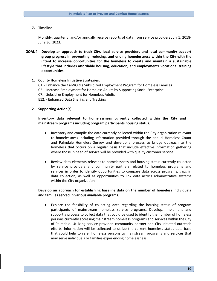#### **7. Timeline**

Monthly, quarterly, and/or annually receive reports of data from service providers July 1, 2018- June 30, 2023.

**GOAL 4: Develop an approach to track City, local service providers and local community support group progress in preventing, reducing, and ending homelessness within the City with the intent to increase opportunities for the homeless to create and maintain a sustainable lifestyle that includes affordable housing, education, and employment/ vocational training opportunities.**

#### **1. County Homeless Initiative Strategies:**

- C1. Enhance the CalWORKs Subsidized Employment Program for Homeless Families
- C2. Increase Employment for Homeless Adults by Supporting Social Enterprise
- C7. Subsidize Employment for Homeless Adults
- E12. Enhanced Data Sharing and Tracking

#### **2. Supporting Action(s)**

## **Inventory data relevant to homelessness currently collected within the City and mainstream programs including program participants housing status.**

- Inventory and compile the data currently collected within the City organization relevant to homelessness including information provided through the annual Homeless Count and Palmdale Homeless Survey and develop a process to bridge outreach to the homeless that occurs on a regular basis that include effective information gathering where those in need of service will be provided with quality customer service.
- Review data elements relevant to homelessness and housing status currently collected by service providers and community partners related to homeless programs and services in order to identify opportunities to compare data across programs, gaps in data collection, as well as opportunities to link data across administrative systems within the City organization.

## **Develop an approach for establishing baseline data on the number of homeless individuals and families served in various available programs.**

• Explore the feasibility of collecting data regarding the housing status of program participants of mainstream homeless service programs. Develop, implement and support a process to collect data that could be used to identify the number of homeless persons currently accessing mainstream homeless programs and services within the City of Palmdale. Utilizing service provider, community partner and City initiated outreach efforts, information will be collected to utilize the current homeless status data base that could help to refer homeless persons to mainstream programs and services that may serve individuals or families experiencing homelessness.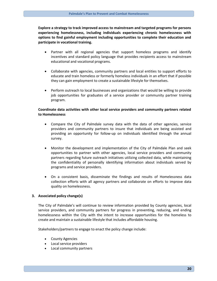**Explore a strategy to track improved access to mainstream and targeted programs for persons experiencing homelessness, including individuals experiencing chronic homelessness with options to find gainful employment including opportunities to complete their education and participate in vocational training.**

- Partner with all regional agencies that support homeless programs and identify incentives and standard policy language that provides recipients access to mainstream educational and vocational programs.
- Collaborate with agencies, community partners and local entities to support efforts to educate and train homeless or formerly homeless individuals in an effort that if possible they can gain employment to create a sustainable lifestyle for themselves.
- Perform outreach to local businesses and organizations that would be willing to provide job opportunities for graduates of a service provider or community partner training program.

## **Coordinate data activities with other local service providers and community partners related to Homelessness**

- Compare the City of Palmdale survey data with the data of other agencies, service providers and community partners to insure that individuals are being assisted and providing an opportunity for follow-up on individuals identified through the annual survey.
- Monitor the development and implementation of the City of Palmdale Plan and seek opportunities to partner with other agencies, local service providers and community partners regarding future outreach initiatives utilizing collected data, while maintaining the confidentiality of personally identifying information about individuals served by programs and service providers.
- On a consistent basis, disseminate the findings and results of Homelessness data collection efforts with all agency partners and collaborate on efforts to improve data quality on homelessness.

#### **3. Associated policy change(s)**

The City of Palmdale's will continue to review information provided by County agencies, local service providers, and community partners for progress in preventing, reducing, and ending homelessness within the City with the intent to increase opportunities for the homeless to create and maintain a sustainable lifestyle that includes affordable housing.

Stakeholders/partners to engage to enact the policy change include:

- County Agencies
- Local service providers
- Local community partners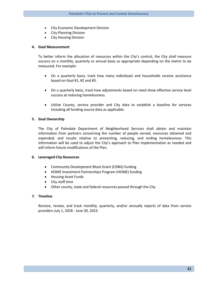- City Economic Development Division
- City Planning Division
- **City Housing Division**

#### **4. Goal Measurement**

To better inform the allocation of resources within the City's control, the City shall measure success on a monthly, quarterly or annual basis as appropriate depending on the metric to be measured. For example:

- On a quarterly basis, track how many individuals and households receive assistance based on Goal #1, #2 and #3.
- On a quarterly basis, track how adjustments based on need show effective service level success at reducing homelessness.
- Utilize County, service provider and City data to establish a baseline for services including all funding source data as applicable.

#### **5. Goal Ownership**

The City of Palmdale Department of Neighborhood Services shall obtain and maintain information from partners concerning the number of people served, resources obtained and expended, and results relative to preventing, reducing, and ending homelessness. This information will be used to adjust the City's approach to Plan implementation as needed and will inform future modifications of the Plan.

#### **6. Leveraged City Resources**

- Community Development Block Grant (CDBG) funding
- HOME Investment Partnerships Program (HOME) funding
- Housing Asset Funds
- City staff time
- Other county, state and federal resources passed through the City

## **7. Timeline**

Receive, review, and track monthly, quarterly, and/or annually reports of data from service providers July 1, 2018 - June 30, 2023.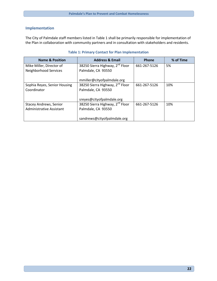# **Implementation**

The City of Palmdale staff members listed in Table 1 shall be primarily responsible for implementation of the Plan in collaboration with community partners and in consultation with stakeholders and residents.

| <b>Name &amp; Position</b>      | <b>Address &amp; Email</b>                  | Phone        | % of Time |
|---------------------------------|---------------------------------------------|--------------|-----------|
| Mike Miller, Director of        | 38250 Sierra Highway, 2 <sup>nd</sup> Floor | 661-267-5126 | 5%        |
| Neighborhood Services           | Palmdale, CA 93550                          |              |           |
|                                 | mmiller@cityofpalmdale.org                  |              |           |
| Sophia Reyes, Senior Housing    | 38250 Sierra Highway, 2 <sup>nd</sup> Floor | 661-267-5126 | 10%       |
| Coordinator                     | Palmdale, CA 93550                          |              |           |
|                                 |                                             |              |           |
|                                 | sreyes@cityofpalmdale.org                   |              |           |
| <b>Stacey Andrews, Senior</b>   | 38250 Sierra Highway, 2 <sup>nd</sup> Floor | 661-267-5126 | 10%       |
| <b>Administrative Assistant</b> | Palmdale, CA 93550                          |              |           |
|                                 |                                             |              |           |
|                                 | sandrews@cityofpalmdale.org                 |              |           |

## **Table 1: Primary Contact for Plan Implementation**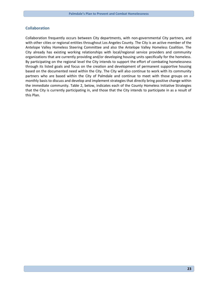## **Collaboration**

Collaboration frequently occurs between City departments, with non-governmental City partners, and with other cities or regional entities throughout Los Angeles County. The City is an active member of the Antelope Valley Homeless Steering Committee and also the Antelope Valley Homeless Coalition. The City already has existing working relationships with local/regional service providers and community organizations that are currently providing and/or developing housing units specifically for the homeless. By participating on the regional level the City intends to support the effort of combating homelessness through its listed goals and focus on the creation and development of permanent supportive housing based on the documented need within the City. The City will also continue to work with its community partners who are based within the City of Palmdale and continue to meet with those groups on a monthly basis to discuss and develop and implement strategies that directly bring positive change within the immediate community. Table 2, below, indicates each of the County Homeless Initiative Strategies that the City is currently participating in, and those that the City intends to participate in as a result of this Plan.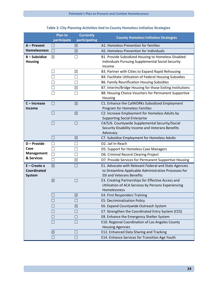|                                    | <b>Plan to</b> | <b>Currently</b>         | <b>County Homeless Initiative Strategies</b>                                    |
|------------------------------------|----------------|--------------------------|---------------------------------------------------------------------------------|
|                                    | participate    | participating            |                                                                                 |
| A - Prevent<br><b>Homelessness</b> |                | ⊠                        | A1. Homeless Prevention for families<br>A5. Homeless Prevention for Individuals |
|                                    |                | $\boxtimes$              |                                                                                 |
| $B -$ Subsidize                    | ⊠              | $\mathbf{L}$             | B1. Provide Subsidized Housing to Homeless Disabled                             |
| <b>Housing</b>                     |                |                          | Individuals Pursuing Supplemental Social Security<br>Income                     |
|                                    |                | $\boxtimes$              | B3. Partner with Cities to Expand Rapid Rehousing                               |
|                                    |                | П                        | B4. Facilitate Utilization of Federal Housing Subsidies                         |
|                                    |                | П                        | B6. Family Reunification Housing Subsidies                                      |
|                                    |                | $\boxtimes$              | B7. Interim/Bridge Housing for those Exiting Institutions                       |
|                                    |                | $\Box$                   | B8. Housing Choice Vouchers for Permanent Supportive                            |
|                                    |                |                          | Housing                                                                         |
| $C$ – Increase                     |                | $\boxtimes$              | C1. Enhance the CalWORKs Subsidized Employment                                  |
| Income                             |                |                          | Program for Homeless Families                                                   |
|                                    |                | $\boxtimes$              | C2. Increase Employment for Homeless Adults by                                  |
|                                    |                |                          | <b>Supporting Social Enterprise</b>                                             |
|                                    | $\Box$         | $\Box$                   | C4/5/6. Countywide Supplemental Security/Social                                 |
|                                    |                |                          | Security Disability Income and Veterans Benefits                                |
|                                    |                |                          | Advocacy                                                                        |
|                                    |                | ⊠                        | C7. Subsidize Employment for Homeless Adults                                    |
| D - Provide                        |                | l 1                      | D2. Jail In-Reach                                                               |
| Case                               |                | П                        | D5. Support for Homeless Case Managers                                          |
| <b>Management</b><br>& Services    |                | ×.                       | D6. Criminal Record Clearing Project                                            |
|                                    | $\Box$         | $\boxtimes$              | D7. Provide Services for Permanent Supportive Housing                           |
| $E -$ Create a                     | $\boxtimes$    | $\mathbf{L}$             | E1. Advocate with Relevant Federal and State Agencies                           |
| <b>Coordinated</b>                 |                |                          | to Streamline Applicable Administrative Processes for                           |
| <b>System</b>                      |                |                          | <b>SSI and Veterans Benefits</b>                                                |
|                                    | $\boxtimes$    | $\Box$                   | E3. Creating Partnerships for Effective Access and                              |
|                                    |                |                          | Utilization of ACA Services by Persons Experiencing                             |
|                                    |                |                          | Homelessness                                                                    |
|                                    |                | ⊠                        | E4. First Responders Training                                                   |
|                                    |                | $\overline{\phantom{a}}$ | E5. Decriminalization Policy                                                    |
|                                    |                | $\boxtimes$              | E6. Expand Countywide Outreach System                                           |
|                                    |                | $\Box$                   | E7. Strengthen the Coordinated Entry System (CES)                               |
|                                    |                | H                        | E8. Enhance the Emergency Shelter System                                        |
|                                    |                | П                        | E10. Regional Coordination of Los Angeles County                                |
|                                    |                |                          | <b>Housing Agencies</b>                                                         |
|                                    | $\boxtimes$    | $\mathbf{L}$             | E12. Enhanced Data Sharing and Tracking                                         |
|                                    |                |                          | E14. Enhance Services for Transition Age Youth                                  |

# **Table 2: City Planning Activities tied to County Homeless Initiative Strategies**